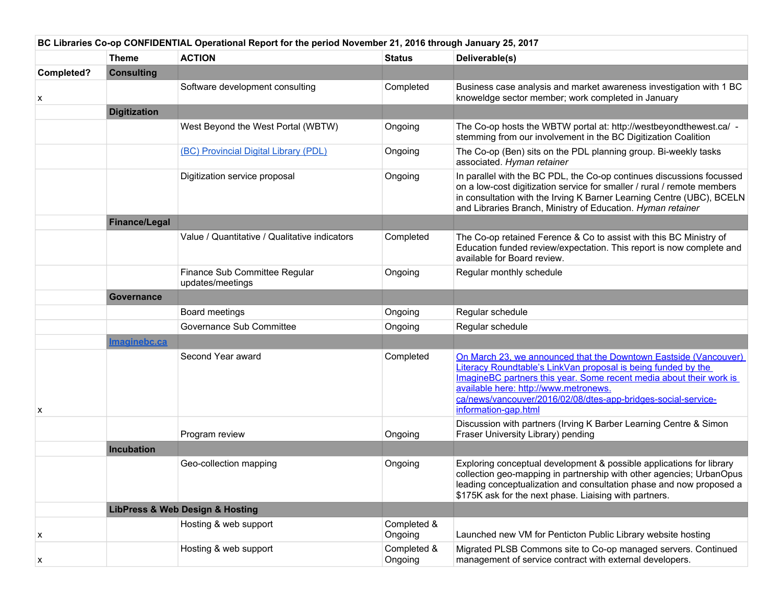| BC Libraries Co-op CONFIDENTIAL Operational Report for the period November 21, 2016 through January 25, 2017 |                      |                                                   |                        |                                                                                                                                                                                                                                                                                                                                            |  |
|--------------------------------------------------------------------------------------------------------------|----------------------|---------------------------------------------------|------------------------|--------------------------------------------------------------------------------------------------------------------------------------------------------------------------------------------------------------------------------------------------------------------------------------------------------------------------------------------|--|
|                                                                                                              | Theme                | <b>ACTION</b>                                     | <b>Status</b>          | Deliverable(s)                                                                                                                                                                                                                                                                                                                             |  |
| Completed?                                                                                                   | <b>Consulting</b>    |                                                   |                        |                                                                                                                                                                                                                                                                                                                                            |  |
| х                                                                                                            |                      | Software development consulting                   | Completed              | Business case analysis and market awareness investigation with 1 BC<br>knoweldge sector member; work completed in January                                                                                                                                                                                                                  |  |
|                                                                                                              | <b>Digitization</b>  |                                                   |                        |                                                                                                                                                                                                                                                                                                                                            |  |
|                                                                                                              |                      | West Beyond the West Portal (WBTW)                | Ongoing                | The Co-op hosts the WBTW portal at: http://westbeyondthewest.ca/ -<br>stemming from our involvement in the BC Digitization Coalition                                                                                                                                                                                                       |  |
|                                                                                                              |                      | (BC) Provincial Digital Library (PDL)             | Ongoing                | The Co-op (Ben) sits on the PDL planning group. Bi-weekly tasks<br>associated. Hyman retainer                                                                                                                                                                                                                                              |  |
|                                                                                                              |                      | Digitization service proposal                     | Ongoing                | In parallel with the BC PDL, the Co-op continues discussions focussed<br>on a low-cost digitization service for smaller / rural / remote members<br>in consultation with the Irving K Barner Learning Centre (UBC), BCELN<br>and Libraries Branch, Ministry of Education. Hyman retainer                                                   |  |
|                                                                                                              | <b>Finance/Legal</b> |                                                   |                        |                                                                                                                                                                                                                                                                                                                                            |  |
|                                                                                                              |                      | Value / Quantitative / Qualitative indicators     | Completed              | The Co-op retained Ference & Co to assist with this BC Ministry of<br>Education funded review/expectation. This report is now complete and<br>available for Board review.                                                                                                                                                                  |  |
|                                                                                                              |                      | Finance Sub Committee Regular<br>updates/meetings | Ongoing                | Regular monthly schedule                                                                                                                                                                                                                                                                                                                   |  |
|                                                                                                              | Governance           |                                                   |                        |                                                                                                                                                                                                                                                                                                                                            |  |
|                                                                                                              |                      | Board meetings                                    | Ongoing                | Regular schedule                                                                                                                                                                                                                                                                                                                           |  |
|                                                                                                              |                      | Governance Sub Committee                          | Ongoing                | Regular schedule                                                                                                                                                                                                                                                                                                                           |  |
|                                                                                                              | Imaginebc.ca         |                                                   |                        |                                                                                                                                                                                                                                                                                                                                            |  |
| х                                                                                                            |                      | Second Year award                                 | Completed              | On March 23, we announced that the Downtown Eastside (Vancouver)<br>Literacy Roundtable's LinkVan proposal is being funded by the<br>ImagineBC partners this year. Some recent media about their work is<br>available here: http://www.metronews.<br>ca/news/vancouver/2016/02/08/dtes-app-bridges-social-service-<br>information-gap.html |  |
|                                                                                                              |                      | Program review                                    | Ongoing                | Discussion with partners (Irving K Barber Learning Centre & Simon<br>Fraser University Library) pending                                                                                                                                                                                                                                    |  |
|                                                                                                              | Incubation           |                                                   |                        |                                                                                                                                                                                                                                                                                                                                            |  |
|                                                                                                              |                      | Geo-collection mapping                            | Ongoing                | Exploring conceptual development & possible applications for library<br>collection geo-mapping in partnership with other agencies; UrbanOpus<br>leading conceptualization and consultation phase and now proposed a<br>\$175K ask for the next phase. Liaising with partners.                                                              |  |
|                                                                                                              |                      | <b>LibPress &amp; Web Design &amp; Hosting</b>    |                        |                                                                                                                                                                                                                                                                                                                                            |  |
| х                                                                                                            |                      | Hosting & web support                             | Completed &<br>Ongoing | Launched new VM for Penticton Public Library website hosting                                                                                                                                                                                                                                                                               |  |
| х                                                                                                            |                      | Hosting & web support                             | Completed &<br>Ongoing | Migrated PLSB Commons site to Co-op managed servers. Continued<br>management of service contract with external developers.                                                                                                                                                                                                                 |  |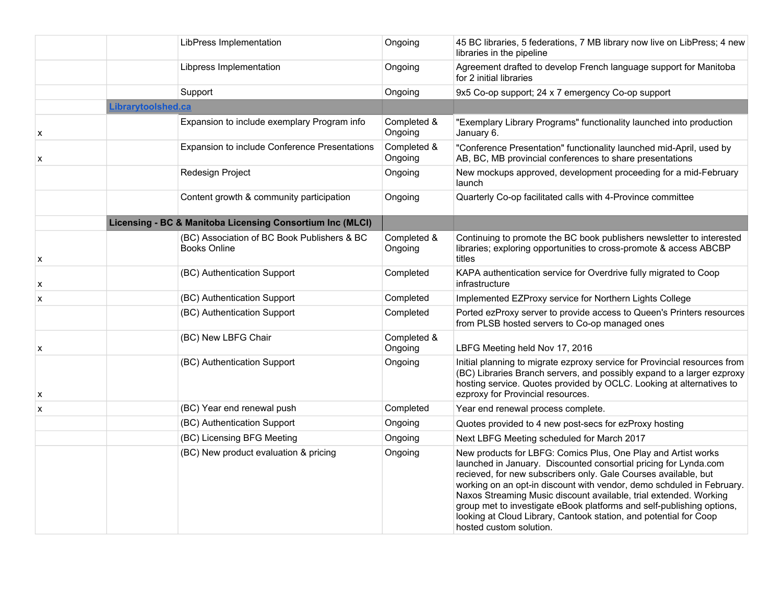|   | LibPress Implementation                                            | Ongoing                | 45 BC libraries, 5 federations, 7 MB library now live on LibPress; 4 new<br>libraries in the pipeline                                                                                                                                                                                                                                                                                                                                                                                                                       |
|---|--------------------------------------------------------------------|------------------------|-----------------------------------------------------------------------------------------------------------------------------------------------------------------------------------------------------------------------------------------------------------------------------------------------------------------------------------------------------------------------------------------------------------------------------------------------------------------------------------------------------------------------------|
|   | Libpress Implementation                                            | Ongoing                | Agreement drafted to develop French language support for Manitoba<br>for 2 initial libraries                                                                                                                                                                                                                                                                                                                                                                                                                                |
|   | Support                                                            | Ongoing                | 9x5 Co-op support; 24 x 7 emergency Co-op support                                                                                                                                                                                                                                                                                                                                                                                                                                                                           |
|   | Librarytoolshed.ca                                                 |                        |                                                                                                                                                                                                                                                                                                                                                                                                                                                                                                                             |
| x | Expansion to include exemplary Program info                        | Completed &<br>Ongoing | "Exemplary Library Programs" functionality launched into production<br>January 6.                                                                                                                                                                                                                                                                                                                                                                                                                                           |
| х | Expansion to include Conference Presentations                      | Completed &<br>Ongoing | "Conference Presentation" functionality launched mid-April, used by<br>AB, BC, MB provincial conferences to share presentations                                                                                                                                                                                                                                                                                                                                                                                             |
|   | Redesign Project                                                   | Ongoing                | New mockups approved, development proceeding for a mid-February<br>launch                                                                                                                                                                                                                                                                                                                                                                                                                                                   |
|   | Content growth & community participation                           | Ongoing                | Quarterly Co-op facilitated calls with 4-Province committee                                                                                                                                                                                                                                                                                                                                                                                                                                                                 |
|   | Licensing - BC & Manitoba Licensing Consortium Inc (MLCI)          |                        |                                                                                                                                                                                                                                                                                                                                                                                                                                                                                                                             |
| X | (BC) Association of BC Book Publishers & BC<br><b>Books Online</b> | Completed &<br>Ongoing | Continuing to promote the BC book publishers newsletter to interested<br>libraries; exploring opportunities to cross-promote & access ABCBP<br>titles                                                                                                                                                                                                                                                                                                                                                                       |
| X | (BC) Authentication Support                                        | Completed              | KAPA authentication service for Overdrive fully migrated to Coop<br>infrastructure                                                                                                                                                                                                                                                                                                                                                                                                                                          |
| x | (BC) Authentication Support                                        | Completed              | Implemented EZProxy service for Northern Lights College                                                                                                                                                                                                                                                                                                                                                                                                                                                                     |
|   | (BC) Authentication Support                                        | Completed              | Ported ezProxy server to provide access to Queen's Printers resources<br>from PLSB hosted servers to Co-op managed ones                                                                                                                                                                                                                                                                                                                                                                                                     |
| X | (BC) New LBFG Chair                                                | Completed &<br>Ongoing | LBFG Meeting held Nov 17, 2016                                                                                                                                                                                                                                                                                                                                                                                                                                                                                              |
| X | (BC) Authentication Support                                        | Ongoing                | Initial planning to migrate ezproxy service for Provincial resources from<br>(BC) Libraries Branch servers, and possibly expand to a larger ezproxy<br>hosting service. Quotes provided by OCLC. Looking at alternatives to<br>ezproxy for Provincial resources.                                                                                                                                                                                                                                                            |
| X | (BC) Year end renewal push                                         | Completed              | Year end renewal process complete.                                                                                                                                                                                                                                                                                                                                                                                                                                                                                          |
|   | (BC) Authentication Support                                        | Ongoing                | Quotes provided to 4 new post-secs for ezProxy hosting                                                                                                                                                                                                                                                                                                                                                                                                                                                                      |
|   | (BC) Licensing BFG Meeting                                         | Ongoing                | Next LBFG Meeting scheduled for March 2017                                                                                                                                                                                                                                                                                                                                                                                                                                                                                  |
|   | (BC) New product evaluation & pricing                              | Ongoing                | New products for LBFG: Comics Plus, One Play and Artist works<br>launched in January. Discounted consortial pricing for Lynda.com<br>recieved, for new subscribers only. Gale Courses available, but<br>working on an opt-in discount with vendor, demo schduled in February.<br>Naxos Streaming Music discount available, trial extended. Working<br>group met to investigate eBook platforms and self-publishing options,<br>looking at Cloud Library, Cantook station, and potential for Coop<br>hosted custom solution. |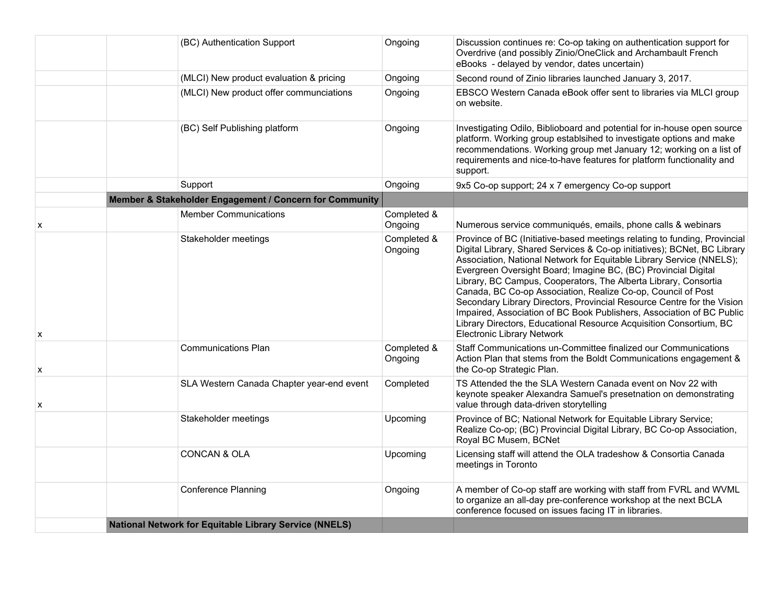|   | (BC) Authentication Support                             | Ongoing                | Discussion continues re: Co-op taking on authentication support for<br>Overdrive (and possibly Zinio/OneClick and Archambault French<br>eBooks - delayed by vendor, dates uncertain)                                                                                                                                                                                                                                                                                                                                                                                                                                                                                                             |
|---|---------------------------------------------------------|------------------------|--------------------------------------------------------------------------------------------------------------------------------------------------------------------------------------------------------------------------------------------------------------------------------------------------------------------------------------------------------------------------------------------------------------------------------------------------------------------------------------------------------------------------------------------------------------------------------------------------------------------------------------------------------------------------------------------------|
|   | (MLCI) New product evaluation & pricing                 | Ongoing                | Second round of Zinio libraries launched January 3, 2017.                                                                                                                                                                                                                                                                                                                                                                                                                                                                                                                                                                                                                                        |
|   | (MLCI) New product offer communciations                 | Ongoing                | EBSCO Western Canada eBook offer sent to libraries via MLCI group<br>on website.                                                                                                                                                                                                                                                                                                                                                                                                                                                                                                                                                                                                                 |
|   | (BC) Self Publishing platform                           | Ongoing                | Investigating Odilo, Biblioboard and potential for in-house open source<br>platform. Working group establsihed to investigate options and make<br>recommendations. Working group met January 12; working on a list of<br>requirements and nice-to-have features for platform functionality and<br>support.                                                                                                                                                                                                                                                                                                                                                                                       |
|   | Support                                                 | Ongoing                | 9x5 Co-op support; 24 x 7 emergency Co-op support                                                                                                                                                                                                                                                                                                                                                                                                                                                                                                                                                                                                                                                |
|   | Member & Stakeholder Engagement / Concern for Community |                        |                                                                                                                                                                                                                                                                                                                                                                                                                                                                                                                                                                                                                                                                                                  |
| x | <b>Member Communications</b>                            | Completed &<br>Ongoing | Numerous service communiqués, emails, phone calls & webinars                                                                                                                                                                                                                                                                                                                                                                                                                                                                                                                                                                                                                                     |
| х | Stakeholder meetings                                    | Completed &<br>Ongoing | Province of BC (Initiative-based meetings relating to funding, Provincial<br>Digital Library, Shared Services & Co-op initiatives); BCNet, BC Library<br>Association, National Network for Equitable Library Service (NNELS);<br>Evergreen Oversight Board; Imagine BC, (BC) Provincial Digital<br>Library, BC Campus, Cooperators, The Alberta Library, Consortia<br>Canada, BC Co-op Association, Realize Co-op, Council of Post<br>Secondary Library Directors, Provincial Resource Centre for the Vision<br>Impaired, Association of BC Book Publishers, Association of BC Public<br>Library Directors, Educational Resource Acquisition Consortium, BC<br><b>Electronic Library Network</b> |
| X | <b>Communications Plan</b>                              | Completed &<br>Ongoing | Staff Communications un-Committee finalized our Communications<br>Action Plan that stems from the Boldt Communications engagement &<br>the Co-op Strategic Plan.                                                                                                                                                                                                                                                                                                                                                                                                                                                                                                                                 |
| X | SLA Western Canada Chapter year-end event               | Completed              | TS Attended the the SLA Western Canada event on Nov 22 with<br>keynote speaker Alexandra Samuel's presetnation on demonstrating<br>value through data-driven storytelling                                                                                                                                                                                                                                                                                                                                                                                                                                                                                                                        |
|   | Stakeholder meetings                                    | Upcoming               | Province of BC; National Network for Equitable Library Service;<br>Realize Co-op; (BC) Provincial Digital Library, BC Co-op Association,<br>Royal BC Musem, BCNet                                                                                                                                                                                                                                                                                                                                                                                                                                                                                                                                |
|   | <b>CONCAN &amp; OLA</b>                                 | Upcoming               | Licensing staff will attend the OLA tradeshow & Consortia Canada<br>meetings in Toronto                                                                                                                                                                                                                                                                                                                                                                                                                                                                                                                                                                                                          |
|   | <b>Conference Planning</b>                              | Ongoing                | A member of Co-op staff are working with staff from FVRL and WVML<br>to organize an all-day pre-conference workshop at the next BCLA<br>conference focused on issues facing IT in libraries.                                                                                                                                                                                                                                                                                                                                                                                                                                                                                                     |
|   | National Network for Equitable Library Service (NNELS)  |                        |                                                                                                                                                                                                                                                                                                                                                                                                                                                                                                                                                                                                                                                                                                  |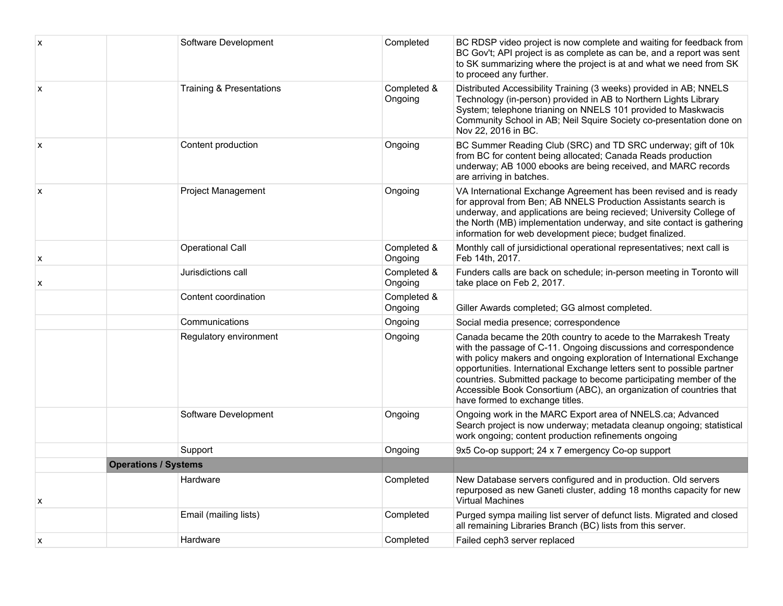| X              | Software Development                | Completed              | BC RDSP video project is now complete and waiting for feedback from<br>BC Gov't; API project is as complete as can be, and a report was sent<br>to SK summarizing where the project is at and what we need from SK<br>to proceed any further.                                                                                                                                                                                                                         |
|----------------|-------------------------------------|------------------------|-----------------------------------------------------------------------------------------------------------------------------------------------------------------------------------------------------------------------------------------------------------------------------------------------------------------------------------------------------------------------------------------------------------------------------------------------------------------------|
| $\pmb{\times}$ | <b>Training &amp; Presentations</b> | Completed &<br>Ongoing | Distributed Accessibility Training (3 weeks) provided in AB; NNELS<br>Technology (in-person) provided in AB to Northern Lights Library<br>System; telephone trianing on NNELS 101 provided to Maskwacis<br>Community School in AB; Neil Squire Society co-presentation done on<br>Nov 22, 2016 in BC.                                                                                                                                                                 |
| $\pmb{\times}$ | Content production                  | Ongoing                | BC Summer Reading Club (SRC) and TD SRC underway; gift of 10k<br>from BC for content being allocated; Canada Reads production<br>underway; AB 1000 ebooks are being received, and MARC records<br>are arriving in batches.                                                                                                                                                                                                                                            |
| x              | Project Management                  | Ongoing                | VA International Exchange Agreement has been revised and is ready<br>for approval from Ben; AB NNELS Production Assistants search is<br>underway, and applications are being recieved; University College of<br>the North (MB) implementation underway, and site contact is gathering<br>information for web development piece; budget finalized.                                                                                                                     |
| X              | <b>Operational Call</b>             | Completed &<br>Ongoing | Monthly call of jursidictional operational representatives; next call is<br>Feb 14th, 2017.                                                                                                                                                                                                                                                                                                                                                                           |
| X              | Jurisdictions call                  | Completed &<br>Ongoing | Funders calls are back on schedule; in-person meeting in Toronto will<br>take place on Feb 2, 2017.                                                                                                                                                                                                                                                                                                                                                                   |
|                | Content coordination                | Completed &<br>Ongoing | Giller Awards completed; GG almost completed.                                                                                                                                                                                                                                                                                                                                                                                                                         |
|                | Communications                      | Ongoing                | Social media presence; correspondence                                                                                                                                                                                                                                                                                                                                                                                                                                 |
|                | Regulatory environment              | Ongoing                | Canada became the 20th country to acede to the Marrakesh Treaty<br>with the passage of C-11. Ongoing discussions and correspondence<br>with policy makers and ongoing exploration of International Exchange<br>opportunities. International Exchange letters sent to possible partner<br>countries. Submitted package to become participating member of the<br>Accessible Book Consortium (ABC), an organization of countries that<br>have formed to exchange titles. |
|                | Software Development                | Ongoing                | Ongoing work in the MARC Export area of NNELS.ca; Advanced<br>Search project is now underway; metadata cleanup ongoing; statistical<br>work ongoing; content production refinements ongoing                                                                                                                                                                                                                                                                           |
|                | Support                             | Ongoing                | 9x5 Co-op support; 24 x 7 emergency Co-op support                                                                                                                                                                                                                                                                                                                                                                                                                     |
|                | <b>Operations / Systems</b>         |                        |                                                                                                                                                                                                                                                                                                                                                                                                                                                                       |
| x              | Hardware                            | Completed              | New Database servers configured and in production. Old servers<br>repurposed as new Ganeti cluster, adding 18 months capacity for new<br><b>Virtual Machines</b>                                                                                                                                                                                                                                                                                                      |
|                | Email (mailing lists)               | Completed              | Purged sympa mailing list server of defunct lists. Migrated and closed<br>all remaining Libraries Branch (BC) lists from this server.                                                                                                                                                                                                                                                                                                                                 |
| X              | Hardware                            | Completed              | Failed ceph3 server replaced                                                                                                                                                                                                                                                                                                                                                                                                                                          |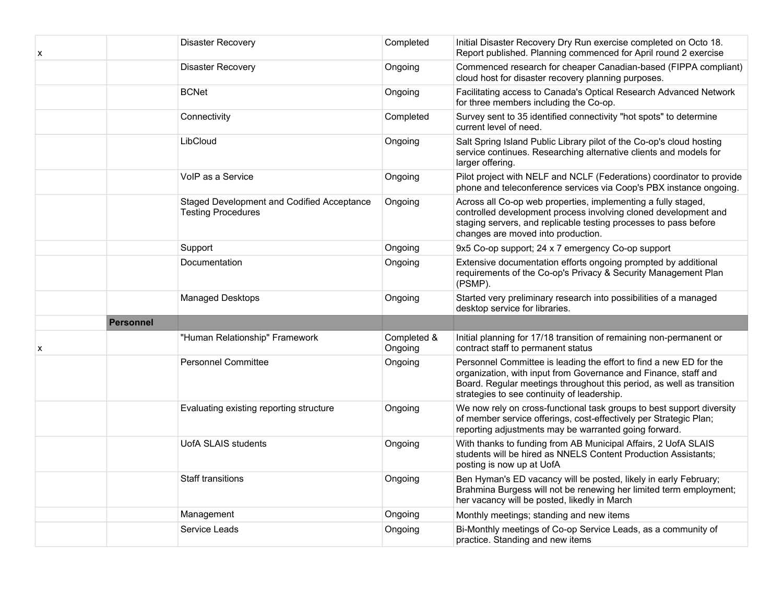| x |                  | <b>Disaster Recovery</b>                                                | Completed              | Initial Disaster Recovery Dry Run exercise completed on Octo 18.<br>Report published. Planning commenced for April round 2 exercise                                                                                                                           |
|---|------------------|-------------------------------------------------------------------------|------------------------|---------------------------------------------------------------------------------------------------------------------------------------------------------------------------------------------------------------------------------------------------------------|
|   |                  | <b>Disaster Recovery</b>                                                | Ongoing                | Commenced research for cheaper Canadian-based (FIPPA compliant)<br>cloud host for disaster recovery planning purposes.                                                                                                                                        |
|   |                  | <b>BCNet</b>                                                            | Ongoing                | Facilitating access to Canada's Optical Research Advanced Network<br>for three members including the Co-op.                                                                                                                                                   |
|   |                  | Connectivity                                                            | Completed              | Survey sent to 35 identified connectivity "hot spots" to determine<br>current level of need.                                                                                                                                                                  |
|   |                  | LibCloud                                                                | Ongoing                | Salt Spring Island Public Library pilot of the Co-op's cloud hosting<br>service continues. Researching alternative clients and models for<br>larger offering.                                                                                                 |
|   |                  | VoIP as a Service                                                       | Ongoing                | Pilot project with NELF and NCLF (Federations) coordinator to provide<br>phone and teleconference services via Coop's PBX instance ongoing.                                                                                                                   |
|   |                  | Staged Development and Codified Acceptance<br><b>Testing Procedures</b> | Ongoing                | Across all Co-op web properties, implementing a fully staged,<br>controlled development process involving cloned development and<br>staging servers, and replicable testing processes to pass before<br>changes are moved into production.                    |
|   |                  | Support                                                                 | Ongoing                | 9x5 Co-op support; 24 x 7 emergency Co-op support                                                                                                                                                                                                             |
|   |                  | Documentation                                                           | Ongoing                | Extensive documentation efforts ongoing prompted by additional<br>requirements of the Co-op's Privacy & Security Management Plan<br>(PSMP).                                                                                                                   |
|   |                  | Managed Desktops                                                        | Ongoing                | Started very preliminary research into possibilities of a managed<br>desktop service for libraries.                                                                                                                                                           |
|   | <b>Personnel</b> |                                                                         |                        |                                                                                                                                                                                                                                                               |
| x |                  | "Human Relationship" Framework                                          | Completed &<br>Ongoing | Initial planning for 17/18 transition of remaining non-permanent or<br>contract staff to permanent status                                                                                                                                                     |
|   |                  | <b>Personnel Committee</b>                                              | Ongoing                | Personnel Committee is leading the effort to find a new ED for the<br>organization, with input from Governance and Finance, staff and<br>Board. Regular meetings throughout this period, as well as transition<br>strategies to see continuity of leadership. |
|   |                  | Evaluating existing reporting structure                                 | Ongoing                | We now rely on cross-functional task groups to best support diversity<br>of member service offerings, cost-effectively per Strategic Plan;<br>reporting adjustments may be warranted going forward.                                                           |
|   |                  | <b>UofA SLAIS students</b>                                              | Ongoing                | With thanks to funding from AB Municipal Affairs, 2 UofA SLAIS<br>students will be hired as NNELS Content Production Assistants;<br>posting is now up at UofA                                                                                                 |
|   |                  | <b>Staff transitions</b>                                                | Ongoing                | Ben Hyman's ED vacancy will be posted, likely in early February;<br>Brahmina Burgess will not be renewing her limited term employment;<br>her vacancy will be posted, likedly in March                                                                        |
|   |                  | Management                                                              | Ongoing                | Monthly meetings; standing and new items                                                                                                                                                                                                                      |
|   |                  | Service Leads                                                           | Ongoing                | Bi-Monthly meetings of Co-op Service Leads, as a community of<br>practice. Standing and new items                                                                                                                                                             |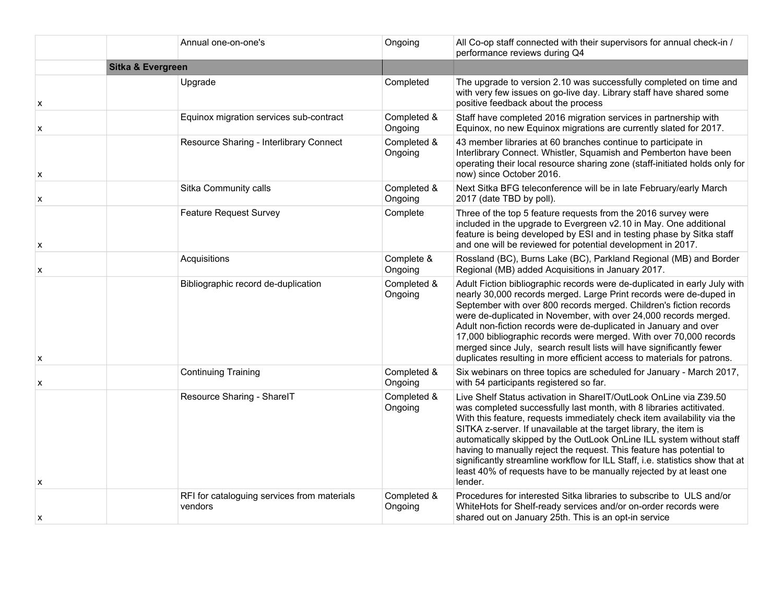|   | Annual one-on-one's                                    | Ongoing                | All Co-op staff connected with their supervisors for annual check-in /<br>performance reviews during Q4                                                                                                                                                                                                                                                                                                                                                                                                                                                                                                     |
|---|--------------------------------------------------------|------------------------|-------------------------------------------------------------------------------------------------------------------------------------------------------------------------------------------------------------------------------------------------------------------------------------------------------------------------------------------------------------------------------------------------------------------------------------------------------------------------------------------------------------------------------------------------------------------------------------------------------------|
|   | <b>Sitka &amp; Evergreen</b>                           |                        |                                                                                                                                                                                                                                                                                                                                                                                                                                                                                                                                                                                                             |
| x | Upgrade                                                | Completed              | The upgrade to version 2.10 was successfully completed on time and<br>with very few issues on go-live day. Library staff have shared some<br>positive feedback about the process                                                                                                                                                                                                                                                                                                                                                                                                                            |
| x | Equinox migration services sub-contract                | Completed &<br>Ongoing | Staff have completed 2016 migration services in partnership with<br>Equinox, no new Equinox migrations are currently slated for 2017.                                                                                                                                                                                                                                                                                                                                                                                                                                                                       |
| x | Resource Sharing - Interlibrary Connect                | Completed &<br>Ongoing | 43 member libraries at 60 branches continue to participate in<br>Interlibrary Connect. Whistler, Squamish and Pemberton have been<br>operating their local resource sharing zone (staff-initiated holds only for<br>now) since October 2016.                                                                                                                                                                                                                                                                                                                                                                |
| X | Sitka Community calls                                  | Completed &<br>Ongoing | Next Sitka BFG teleconference will be in late February/early March<br>2017 (date TBD by poll).                                                                                                                                                                                                                                                                                                                                                                                                                                                                                                              |
| X | <b>Feature Request Survey</b>                          | Complete               | Three of the top 5 feature requests from the 2016 survey were<br>included in the upgrade to Evergreen v2.10 in May. One additional<br>feature is being developed by ESI and in testing phase by Sitka staff<br>and one will be reviewed for potential development in 2017.                                                                                                                                                                                                                                                                                                                                  |
| X | Acquisitions                                           | Complete &<br>Ongoing  | Rossland (BC), Burns Lake (BC), Parkland Regional (MB) and Border<br>Regional (MB) added Acquisitions in January 2017.                                                                                                                                                                                                                                                                                                                                                                                                                                                                                      |
| x | Bibliographic record de-duplication                    | Completed &<br>Ongoing | Adult Fiction bibliographic records were de-duplicated in early July with<br>nearly 30,000 records merged. Large Print records were de-duped in<br>September with over 800 records merged. Children's fiction records<br>were de-duplicated in November, with over 24,000 records merged.<br>Adult non-fiction records were de-duplicated in January and over<br>17,000 bibliographic records were merged. With over 70,000 records<br>merged since July, search result lists will have significantly fewer<br>duplicates resulting in more efficient access to materials for patrons.                      |
| X | <b>Continuing Training</b>                             | Completed &<br>Ongoing | Six webinars on three topics are scheduled for January - March 2017,<br>with 54 participants registered so far.                                                                                                                                                                                                                                                                                                                                                                                                                                                                                             |
| x | Resource Sharing - SharelT                             | Completed &<br>Ongoing | Live Shelf Status activation in SharelT/OutLook OnLine via Z39.50<br>was completed successfully last month, with 8 libraries actitivated.<br>With this feature, requests immediately check item availability via the<br>SITKA z-server. If unavailable at the target library, the item is<br>automatically skipped by the OutLook OnLine ILL system without staff<br>having to manually reject the request. This feature has potential to<br>significantly streamline workflow for ILL Staff, i.e. statistics show that at<br>least 40% of requests have to be manually rejected by at least one<br>lender. |
| x | RFI for cataloguing services from materials<br>vendors | Completed &<br>Ongoing | Procedures for interested Sitka libraries to subscribe to ULS and/or<br>WhiteHots for Shelf-ready services and/or on-order records were<br>shared out on January 25th. This is an opt-in service                                                                                                                                                                                                                                                                                                                                                                                                            |